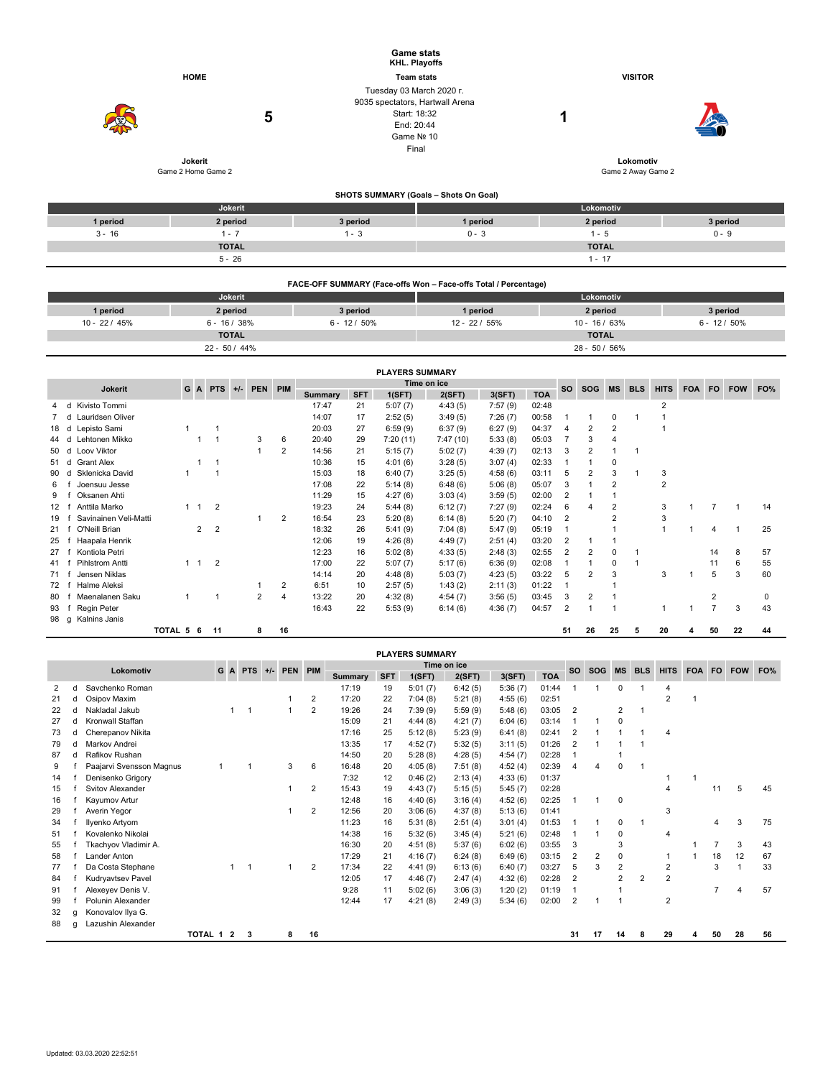|          |                               |          | <b>Game stats</b><br>KHL. Playoffs                                                                               |                                 |          |  |  |  |  |
|----------|-------------------------------|----------|------------------------------------------------------------------------------------------------------------------|---------------------------------|----------|--|--|--|--|
|          | <b>HOME</b>                   |          | <b>Team stats</b>                                                                                                | <b>VISITOR</b>                  |          |  |  |  |  |
|          | 5                             |          | Tuesday 03 March 2020 r.<br>9035 spectators, Hartwall Arena<br>Start: 18:32<br>End: 20:44<br>Game Nº 10<br>Final | ٠                               |          |  |  |  |  |
|          | Jokerit<br>Game 2 Home Game 2 |          |                                                                                                                  | Lokomotiv<br>Game 2 Away Game 2 |          |  |  |  |  |
|          |                               |          | SHOTS SUMMARY (Goals - Shots On Goal)                                                                            |                                 |          |  |  |  |  |
|          | Jokerit                       |          |                                                                                                                  | Lokomotiv                       |          |  |  |  |  |
| 1 period | 2 period                      | 3 period | 1 period                                                                                                         | 2 period                        | 3 period |  |  |  |  |
| $3 - 16$ | $1 - 7$                       | $1 - 3$  | $0 - 3$                                                                                                          | $1 - 5$                         | $0 - 9$  |  |  |  |  |
|          | <b>TOTAL</b>                  |          |                                                                                                                  | <b>TOTAL</b>                    |          |  |  |  |  |
|          | $5 - 26$                      |          |                                                                                                                  | $1 - 17$                        |          |  |  |  |  |
|          |                               |          |                                                                                                                  |                                 |          |  |  |  |  |

|                 | FACE-OFF SUMMARY (Face-offs Won - Face-offs Total / Percentage) |               |                |                  |                 |  |  |  |  |  |  |  |
|-----------------|-----------------------------------------------------------------|---------------|----------------|------------------|-----------------|--|--|--|--|--|--|--|
|                 | Jokerit                                                         |               | Lokomotiv      |                  |                 |  |  |  |  |  |  |  |
| 1 period        | 2 period                                                        | 3 period      | 1 period       | 2 period         | 3 period        |  |  |  |  |  |  |  |
| $10 - 22 / 45%$ | $6 - 16/38%$                                                    | $6 - 12/50\%$ | $12 - 22/55\%$ | $10 - 16/63%$    | $6 - 12 / 50\%$ |  |  |  |  |  |  |  |
|                 | <b>TOTAL</b>                                                    |               |                | <b>TOTAL</b>     |                 |  |  |  |  |  |  |  |
|                 | $22 - 50 / 44\%$                                                |               |                | $28 - 50 / 56\%$ |                 |  |  |  |  |  |  |  |

|      | <b>PLAYERS SUMMARY</b>        |           |  |                                |       |            |     |                |            |          |             |         |            |                |                |           |            |             |            |                |            |     |
|------|-------------------------------|-----------|--|--------------------------------|-------|------------|-----|----------------|------------|----------|-------------|---------|------------|----------------|----------------|-----------|------------|-------------|------------|----------------|------------|-----|
|      | <b>Jokerit</b>                |           |  | G A PTS                        | $+/-$ | <b>PEN</b> | PIM |                |            |          | Time on ice |         |            | <b>SO</b>      | <b>SOG</b>     | <b>MS</b> | <b>BLS</b> | <b>HITS</b> | <b>FOA</b> | <b>FO</b>      | <b>FOW</b> | FO% |
|      |                               |           |  |                                |       |            |     | <b>Summary</b> | <b>SFT</b> | 1(SFT)   | 2(SFT)      | 3(SFT)  | <b>TOA</b> |                |                |           |            |             |            |                |            |     |
| 4    | Kivisto Tommi<br>d            |           |  |                                |       |            |     | 17:47          | 21         | 5:07(7)  | 4:43(5)     | 7:57(9) | 02:48      |                |                |           |            | 2           |            |                |            |     |
|      | Lauridsen Oliver<br>d         |           |  |                                |       |            |     | 14:07          | 17         | 2:52(5)  | 3:49(5)     | 7:26(7) | 00:58      |                |                | 0         |            |             |            |                |            |     |
| 18   | Lepisto Sami<br>d             |           |  |                                |       |            |     | 20:03          | 27         | 6:59(9)  | 6:37(9)     | 6:27(9) | 04:37      | 4              | 2              | 2         |            |             |            |                |            |     |
| 44   | Lehtonen Mikko<br>d           |           |  |                                |       | 3          | 6   | 20:40          | 29         | 7:20(11) | 7:47(10)    | 5:33(8) | 05:03      |                | 3              | 4         |            |             |            |                |            |     |
| 50   | Loov Viktor<br>d              |           |  |                                |       |            | 2   | 14:56          | 21         | 5:15(7)  | 5:02(7)     | 4:39(7) | 02:13      | 3              | 2              |           |            |             |            |                |            |     |
| 51 d | <b>Grant Alex</b>             |           |  |                                |       |            |     | 10:36          | 15         | 4:01(6)  | 3:28(5)     | 3:07(4) | 02:33      |                |                | 0         |            |             |            |                |            |     |
| 90   | Sklenicka David<br>d          |           |  |                                |       |            |     | 15:03          | 18         | 6:40(7)  | 3:25(5)     | 4:58(6) | 03:11      | 5              | 2              | 3         |            | 3           |            |                |            |     |
| 6    | Joensuu Jesse                 |           |  |                                |       |            |     | 17:08          | 22         | 5:14(8)  | 6:48(6)     | 5:06(8) | 05:07      | 3              |                | 2         |            | 2           |            |                |            |     |
| 9    | Oksanen Ahti                  |           |  |                                |       |            |     | 11:29          | 15         | 4:27(6)  | 3:03(4)     | 3:59(5) | 02:00      | $\overline{2}$ |                |           |            |             |            |                |            |     |
| 12   | Anttila Marko                 |           |  | $\overline{2}$                 |       |            |     | 19:23          | 24         | 5:44(8)  | 6:12(7)     | 7:27(9) | 02:24      | 6              | 4              | 2         |            | 3           |            |                |            | 14  |
| 19   | Savinainen Veli-Matti         |           |  |                                |       |            | 2   | 16:54          | 23         | 5:20(8)  | 6:14(8)     | 5:20(7) | 04:10      | $\overline{2}$ |                |           |            | 3           |            |                |            |     |
| 21   | O'Neill Brian                 |           |  | $\overline{2}$<br>$\mathbf{2}$ |       |            |     | 18:32          | 26         | 5:41(9)  | 7:04(8)     | 5:47(9) | 05:19      |                |                |           |            |             |            | 4              |            | 25  |
| 25   | Haapala Henrik                |           |  |                                |       |            |     | 12:06          | 19         | 4:26(8)  | 4:49(7)     | 2:51(4) | 03:20      | $\overline{2}$ |                |           |            |             |            |                |            |     |
| 27   | Kontiola Petri                |           |  |                                |       |            |     | 12:23          | 16         | 5:02(8)  | 4:33(5)     | 2:48(3) | 02:55      | 2              | $\overline{2}$ | 0         |            |             |            | 14             | 8          | 57  |
| 41   | Pihlstrom Antti               |           |  | $\overline{2}$                 |       |            |     | 17:00          | 22         | 5:07(7)  | 5:17(6)     | 6:36(9) | 02:08      |                |                | 0         |            |             |            | 11             | 6          | 55  |
| 71   | Jensen Niklas                 |           |  |                                |       |            |     | 14:14          | 20         | 4:48(8)  | 5:03(7)     | 4:23(5) | 03:22      | 5              | $\overline{2}$ | 3         |            | 3           |            | 5              | 3          | 60  |
| 72   | Halme Aleksi                  |           |  |                                |       |            | 2   | 6:51           | 10         | 2:57(5)  | 1:43(2)     | 2:11(3) | 01:22      |                |                |           |            |             |            |                |            |     |
| 80   | Maenalanen Saku               |           |  | 1                              |       | 2          | 4   | 13:22          | 20         | 4:32(8)  | 4:54(7)     | 3:56(5) | 03:45      | 3              | 2              |           |            |             |            | $\overline{2}$ |            | 0   |
| 93   | Regin Peter                   |           |  |                                |       |            |     | 16:43          | 22         | 5:53(9)  | 6:14(6)     | 4:36(7) | 04:57      | $\overline{2}$ |                |           |            |             |            |                | 3          | 43  |
| 98   | Kalnins Janis<br>$\mathsf{q}$ |           |  |                                |       |            |     |                |            |          |             |         |            |                |                |           |            |             |            |                |            |     |
|      |                               | TOTAL 5 6 |  | 11                             |       | 8          | 16  |                |            |          |             |         |            | 51             | 26             | 25        | 5          | 20          |            | 50             | 22         | 44  |

|                                                                                           | <b>PLAYERS SUMMARY</b> |                          |  |   |                |  |   |    |                |            |            |           |            |             |                |    |                |     |                |  |    |    |    |
|-------------------------------------------------------------------------------------------|------------------------|--------------------------|--|---|----------------|--|---|----|----------------|------------|------------|-----------|------------|-------------|----------------|----|----------------|-----|----------------|--|----|----|----|
| Time on ice<br>G<br><b>PTS</b><br>PIM<br>Lokomotiv<br><b>PEN</b><br>$+/-$<br>$\mathbf{A}$ |                        |                          |  |   |                |  |   |    |                | <b>SO</b>  | <b>SOG</b> | <b>MS</b> | <b>BLS</b> | <b>HITS</b> | FOA FO         |    | <b>FOW</b>     | FO% |                |  |    |    |    |
|                                                                                           |                        |                          |  |   |                |  |   |    | <b>Summary</b> | <b>SFT</b> | 1(SFT)     | 2(SFT)    | 3(SFT)     | <b>TOA</b>  |                |    |                |     |                |  |    |    |    |
| 2                                                                                         | d                      | Savchenko Roman          |  |   |                |  |   |    | 17:19          | 19         | 5:01(7)    | 6:42(5)   | 5:36(7)    | 01:44       |                |    | 0              |     | 4              |  |    |    |    |
| 21                                                                                        |                        | Osipov Maxim             |  |   |                |  |   | 2  | 17:20          | 22         | 7:04(8)    | 5:21(8)   | 4:55(6)    | 02:51       |                |    |                |     | $\overline{2}$ |  |    |    |    |
| 22                                                                                        |                        | Nakladal Jakub           |  | 1 | $\overline{1}$ |  |   | 2  | 19:26          | 24         | 7:39(9)    | 5:59(9)   | 5:48(6)    | 03:05       | $\overline{2}$ |    | $\overline{2}$ |     |                |  |    |    |    |
| 27                                                                                        | C                      | Kronwall Staffan         |  |   |                |  |   |    | 15:09          | 21         | 4:44(8)    | 4:21(7)   | 6:04(6)    | 03:14       |                |    | $\mathbf 0$    |     |                |  |    |    |    |
| 73                                                                                        | C                      | Cherepanov Nikita        |  |   |                |  |   |    | 17:16          | 25         | 5:12(8)    | 5:23(9)   | 6:41(8)    | 02:41       | $\overline{2}$ |    |                |     | 4              |  |    |    |    |
| 79                                                                                        | d                      | Markov Andrei            |  |   |                |  |   |    | 13:35          | 17         | 4:52(7)    | 5:32(5)   | 3:11(5)    | 01:26       | $\overline{2}$ |    |                |     |                |  |    |    |    |
| 87                                                                                        | C                      | Rafikov Rushan           |  |   |                |  |   |    | 14:50          | 20         | 5:28(8)    | 4:28(5)   | 4:54(7)    | 02:28       | -1             |    |                |     |                |  |    |    |    |
| 9                                                                                         |                        | Paajarvi Svensson Magnus |  |   |                |  | 3 | 6  | 16:48          | 20         | 4:05(8)    | 7:51(8)   | 4:52(4)    | 02:39       | 4              | 4  | $\mathbf 0$    |     |                |  |    |    |    |
| 14                                                                                        |                        | Denisenko Grigory        |  |   |                |  |   |    | 7:32           | 12         | 0:46(2)    | 2:13(4)   | 4:33(6)    | 01:37       |                |    |                |     |                |  |    |    |    |
| 15                                                                                        |                        | <b>Svitov Alexander</b>  |  |   |                |  |   | 2  | 15:43          | 19         | 4:43(7)    | 5:15(5)   | 5:45(7)    | 02:28       |                |    |                |     | 4              |  | 11 | 5  | 45 |
| 16                                                                                        |                        | Kayumov Artur            |  |   |                |  |   |    | 12:48          | 16         | 4:40(6)    | 3:16(4)   | 4:52(6)    | 02:25       | 1              |    | $\mathbf 0$    |     |                |  |    |    |    |
| 29                                                                                        |                        | Averin Yegor             |  |   |                |  |   | 2  | 12:56          | 20         | 3:06(6)    | 4:37(8)   | 5:13(6)    | 01:41       |                |    |                |     | 3              |  |    |    |    |
| 34                                                                                        |                        | Ilyenko Artyom           |  |   |                |  |   |    | 11:23          | 16         | 5:31(8)    | 2:51(4)   | 3:01(4)    | 01:53       |                |    | $\mathbf 0$    |     |                |  |    | 3  | 75 |
| 51                                                                                        |                        | Kovalenko Nikolai        |  |   |                |  |   |    | 14:38          | 16         | 5:32(6)    | 3:45(4)   | 5:21(6)    | 02:48       |                |    | 0              |     | 4              |  |    |    |    |
| 55                                                                                        |                        | Tkachyov Vladimir A.     |  |   |                |  |   |    | 16:30          | 20         | 4:51(8)    | 5:37(6)   | 6:02(6)    | 03:55       | 3              |    | 3              |     |                |  |    | 3  | 43 |
| 58                                                                                        |                        | Lander Anton             |  |   |                |  |   |    | 17:29          | 21         | 4:16(7)    | 6:24(8)   | 6:49(6)    | 03:15       | 2              | 2  | $\mathbf 0$    |     |                |  | 18 | 12 | 67 |
| 77                                                                                        |                        | Da Costa Stephane        |  |   | -1             |  |   | 2  | 17:34          | 22         | 4:41(9)    | 6:13(6)   | 6:40(7)    | 03:27       | 5              | 3  | $\overline{2}$ |     | $\overline{2}$ |  | 3  |    | 33 |
| 84                                                                                        |                        | Kudryavtsev Pavel        |  |   |                |  |   |    | 12:05          | 17         | 4:46(7)    | 2:47(4)   | 4:32(6)    | 02:28       | $\overline{2}$ |    | $\overline{2}$ | 2   | $\overline{2}$ |  |    |    |    |
| 91                                                                                        |                        | Alexeyev Denis V.        |  |   |                |  |   |    | 9:28           | 11         | 5:02(6)    | 3:06(3)   | 1:20(2)    | 01:19       | 1              |    |                |     |                |  |    | 4  | 57 |
| 99                                                                                        |                        | Polunin Alexander        |  |   |                |  |   |    | 12:44          | 17         | 4:21(8)    | 2:49(3)   | 5:34(6)    | 02:00       | $\overline{2}$ |    |                |     | $\overline{2}$ |  |    |    |    |
| 32                                                                                        | g                      | Konovalov Ilya G.        |  |   |                |  |   |    |                |            |            |           |            |             |                |    |                |     |                |  |    |    |    |
| 88                                                                                        | q                      | Lazushin Alexander       |  |   |                |  |   |    |                |            |            |           |            |             |                |    |                |     |                |  |    |    |    |
|                                                                                           |                        | <b>TOTAL 1</b>           |  | 2 | 3              |  | 8 | 16 |                |            |            |           |            |             | 31             | 17 | 14             | 8   | 29             |  | 50 | 28 | 56 |